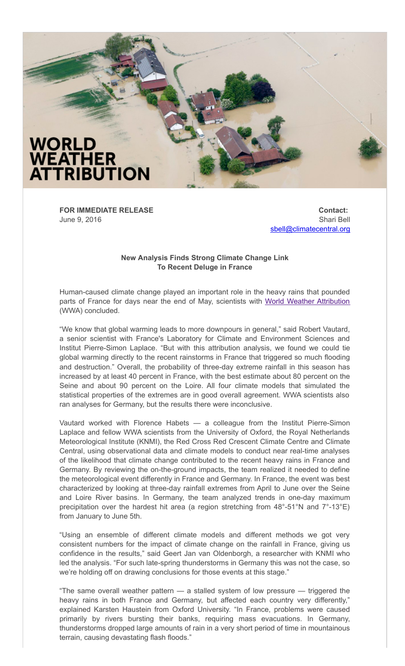

**FOR IMMEDIATE RELEASE** June 9, 2016

**Contact:** Shari Bell [sbell@climatecentral.org](mailto:sbell@climatecentral.org)

## **New Analysis Finds Strong Climate Change Link To Recent Deluge in France**

Human-caused climate change played an important role in the heavy rains that pounded parts of France for days near the end of May, scientists with World Weather [Attribution](http://wwa.climatecentral.org/) (WWA) concluded.

"We know that global warming leads to more downpours in general," said Robert Vautard, a senior scientist with France's Laboratory for Climate and Environment Sciences and Institut Pierre-Simon Laplace. "But with this attribution analysis, we found we could tie global warming directly to the recent rainstorms in France that triggered so much flooding and destruction." Overall, the probability of three-day extreme rainfall in this season has increased by at least 40 percent in France, with the best estimate about 80 percent on the Seine and about 90 percent on the Loire. All four climate models that simulated the statistical properties of the extremes are in good overall agreement. WWA scientists also ran analyses for Germany, but the results there were inconclusive.

Vautard worked with Florence Habets  $-$  a colleague from the Institut Pierre-Simon Laplace and fellow WWA scientists from the University of Oxford, the Royal Netherlands Meteorological Institute (KNMI), the Red Cross Red Crescent Climate Centre and Climate Central, using observational data and climate models to conduct near real-time analyses of the likelihood that climate change contributed to the recent heavy rains in France and Germany. By reviewing the on-the-ground impacts, the team realized it needed to define the meteorological event differently in France and Germany. In France, the event was best characterized by looking at three-day rainfall extremes from April to June over the Seine and Loire River basins. In Germany, the team analyzed trends in one-day maximum precipitation over the hardest hit area (a region stretching from  $48^{\circ}$ -51°N and  $7^{\circ}$ -13°E) from January to June 5th.

"Using an ensemble of different climate models and different methods we got very consistent numbers for the impact of climate change on the rainfall in France, giving us confidence in the results," said Geert Jan van Oldenborgh, a researcher with KNMI who led the analysis. "For such late-spring thunderstorms in Germany this was not the case, so we're holding off on drawing conclusions for those events at this stage."

"The same overall weather pattern — a stalled system of low pressure — triggered the heavy rains in both France and Germany, but affected each country very differently," explained Karsten Haustein from Oxford University. "In France, problems were caused primarily by rivers bursting their banks, requiring mass evacuations. In Germany, thunderstorms dropped large amounts of rain in a very short period of time in mountainous terrain, causing devastating flash floods."